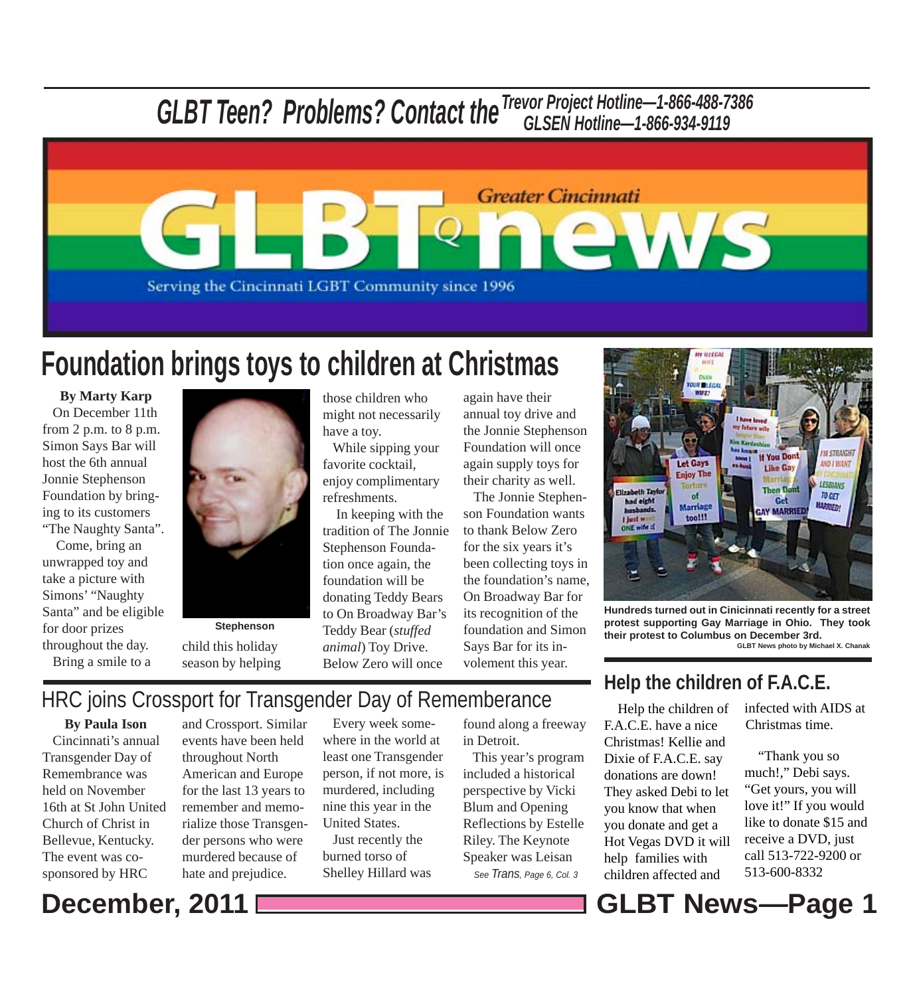# *GLBT Teen? Problems? Contact theTrevor Project Hotline—1-866-488-7386 GLSEN Hotline—1-866-934-9119*



# **Foundation brings toys to children at Christmas**

**By Marty Karp** On December 11th from 2 p.m. to 8 p.m. Simon Says Bar will host the 6th annual Jonnie Stephenson Foundation by bringing to its customers "The Naughty Santa".

 Come, bring an unwrapped toy and take a picture with Simons' "Naughty Santa" and be eligible for door prizes throughout the day. Bring a smile to a



**Stephenson** child this holiday season by helping those children who might not necessarily have a toy.

 While sipping your favorite cocktail, enjoy complimentary refreshments.

 In keeping with the tradition of The Jonnie Stephenson Foundation once again, the foundation will be donating Teddy Bears to On Broadway Bar's Teddy Bear (*stuffed animal*) Toy Drive. Below Zero will once

again have their annual toy drive and the Jonnie Stephenson Foundation will once again supply toys for their charity as well.

 The Jonnie Stephenson Foundation wants to thank Below Zero for the six years it's been collecting toys in the foundation's name, On Broadway Bar for its recognition of the foundation and Simon Says Bar for its involement this year.



**Hundreds turned out in Cinicinnati recently for a street protest supporting Gay Marriage in Ohio. They took their protest to Columbus on December 3rd.**

**GLBT News photo by Michael X. Chanak**

# HRC joins Crossport for Transgender Day of Rememberance Help the children of

**By Paula Ison** Cincinnati's annual Transgender Day of Remembrance was held on November 16th at St John United Church of Christ in Bellevue, Kentucky. The event was cosponsored by HRC

and Crossport. Similar events have been held throughout North American and Europe for the last 13 years to remember and memorialize those Transgender persons who were murdered because of hate and prejudice.

 Every week somewhere in the world at least one Transgender person, if not more, is murdered, including nine this year in the United States.

 Just recently the burned torso of Shelley Hillard was found along a freeway in Detroit.

 This year's program included a historical perspective by Vicki Blum and Opening Reflections by Estelle Riley. The Keynote Speaker was Leisan

### **Help the children of F.A.C.E.**

F.A.C.E. have a nice Christmas! Kellie and Dixie of F.A.C.E. say donations are down! They asked Debi to let you know that when you donate and get a Hot Vegas DVD it will help families with See Trans, Page 6, Col. 3 children affected and 513-600-8332

infected with AIDS at Christmas time.

 "Thank you so much!," Debi says. "Get yours, you will love it!" If you would like to donate \$15 and receive a DVD, just call 513-722-9200 or

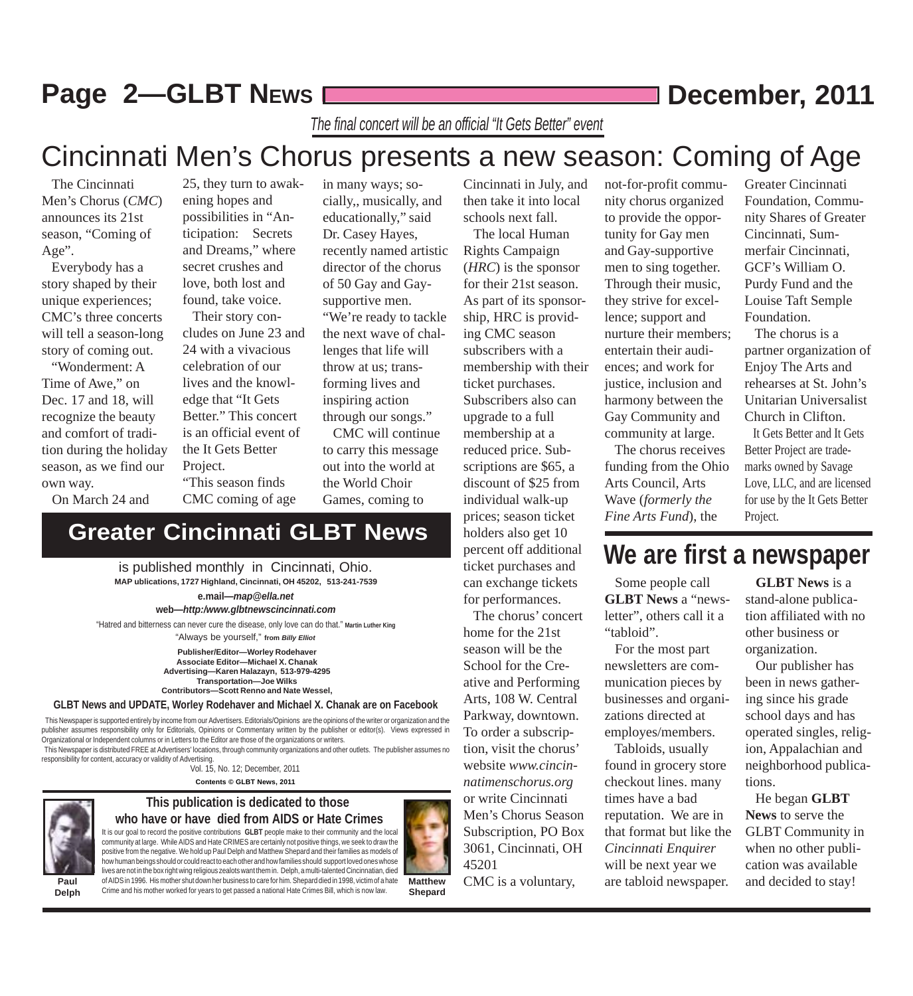## **Page 2-GLBT NEWS December, 2011**

*The final concert will be an official "It Gets Better" event*

## Cincinnati Men's Chorus presents a new season: Coming of Age

 The Cincinnati Men's Chorus (*CMC*) announces its 21st season, "Coming of Age".

 Everybody has a story shaped by their unique experiences; CMC's three concerts will tell a season-long story of coming out.

 "Wonderment: A Time of Awe," on Dec. 17 and 18, will recognize the beauty and comfort of tradition during the holiday season, as we find our own way.

On March 24 and

25, they turn to awakening hopes and possibilities in "Anticipation: Secrets and Dreams," where secret crushes and love, both lost and found, take voice.

 Their story concludes on June 23 and 24 with a vivacious celebration of our lives and the knowledge that "It Gets Better." This concert is an official event of the It Gets Better Project.

"This season finds CMC coming of age

**Greater Cincinnati GLBT News**

cially,, musically, and educationally," said Dr. Casey Hayes, recently named artistic director of the chorus of 50 Gay and Gaysupportive men. "We're ready to tackle the next wave of challenges that life will throw at us; transforming lives and inspiring action through our songs."

in many ways; so-

 CMC will continue to carry this message out into the world at the World Choir Games, coming to

Cincinnati in July, and then take it into local schools next fall.

 The local Human Rights Campaign (*HRC*) is the sponsor for their 21st season. As part of its sponsorship, HRC is providing CMC season subscribers with a membership with their ticket purchases. Subscribers also can upgrade to a full membership at a reduced price. Subscriptions are \$65, a discount of \$25 from individual walk-up prices; season ticket holders also get 10 percent off additional ticket purchases and can exchange tickets for performances.

 The chorus' concert home for the 21st season will be the School for the Creative and Performing Arts, 108 W. Central Parkway, downtown. To order a subscription, visit the chorus' website *www.cincinnatimenschorus.org* or write Cincinnati Men's Chorus Season Subscription, PO Box 3061, Cincinnati, OH 45201

CMC is a voluntary,

not-for-profit community chorus organized to provide the opportunity for Gay men and Gay-supportive men to sing together. Through their music, they strive for excellence; support and nurture their members; entertain their audiences; and work for justice, inclusion and harmony between the Gay Community and community at large.

 The chorus receives funding from the Ohio Arts Council, Arts Wave (*formerly the Fine Arts Fund*), the

Greater Cincinnati Foundation, Community Shares of Greater Cincinnati, Summerfair Cincinnati, GCF's William O. Purdy Fund and the Louise Taft Semple Foundation.

 The chorus is a partner organization of Enjoy The Arts and rehearses at St. John's Unitarian Universalist Church in Clifton.

 It Gets Better and It Gets Better Project are trademarks owned by Savage Love, LLC, and are licensed for use by the It Gets Better Project.

### **We are first a newspaper**

 Some people call **GLBT News** a "newsletter", others call it a "tabloid".

 For the most part newsletters are communication pieces by businesses and organizations directed at employes/members.

 Tabloids, usually found in grocery store checkout lines. many times have a bad reputation. We are in that format but like the *Cincinnati Enquirer* will be next year we are tabloid newspaper.

 **GLBT News** is a stand-alone publication affiliated with no other business or organization.

 Our publisher has been in news gathering since his grade school days and has operated singles, religion, Appalachian and neighborhood publications.

 He began **GLBT News** to serve the GLBT Community in when no other publication was available and decided to stay!

**Paul Delph**

### It is our goal to record the positive contributions **GLBT** people make to their community and the local **who have or have died from AIDS or Hate Crimes**



**Shepard** lives are not in the box right wing religious zealots want them in. Delph, a multi-talented Cincinnatian, died of AIDS in 1996. His mother shut down her business to care for him. Shepard died in 1998, victim of a hate Crime and his mother worked for years to get passed a national Hate Crimes Bill, which is now law.

**Advertising—Karen Halazayn, 513-979-4295 Transportation—Joe Wilks Contributors—Scott Renno and Nate Wessel, GLBT News and UPDATE, Worley Rodehaver and Michael X. Chanak are on Facebook**

This Newspaper is supported entirely by income from our Advertisers. Editorials/Opinions are the opinions of the writer or organization and the

"Always be yourself," **from** *Billy Elliot*

"Hatred and bitterness can never cure the disease, only love can do that." **Martin Luther King**

**MAP ublications, 1727 Highland, Cincinnati, OH 45202, 513-241-7539**

**e.mail***—map@ella.net* **web***—http:/www.glbtnewscincinnati.com*

is published monthly in Cincinnati, Ohio.

**Publisher/Editor—Worley Rodehaver Associate Editor—Michael X. Chanak**

publisher assumes responsibility only for Editorials, Opinions or Commentary written by the publisher or editor(s). Views expressed in Organizational or Independent columns or in Letters to the Editor are those of the organizations or writers. This Newspaper is distributed FREE at Advertisers' locations, through community organizations and other outlets. The publisher assumes no

responsibility for content, accuracy or validity of Advertising.

Vol. 15, No. 12; December, 2011 **Contents © GLBT News, 2011**



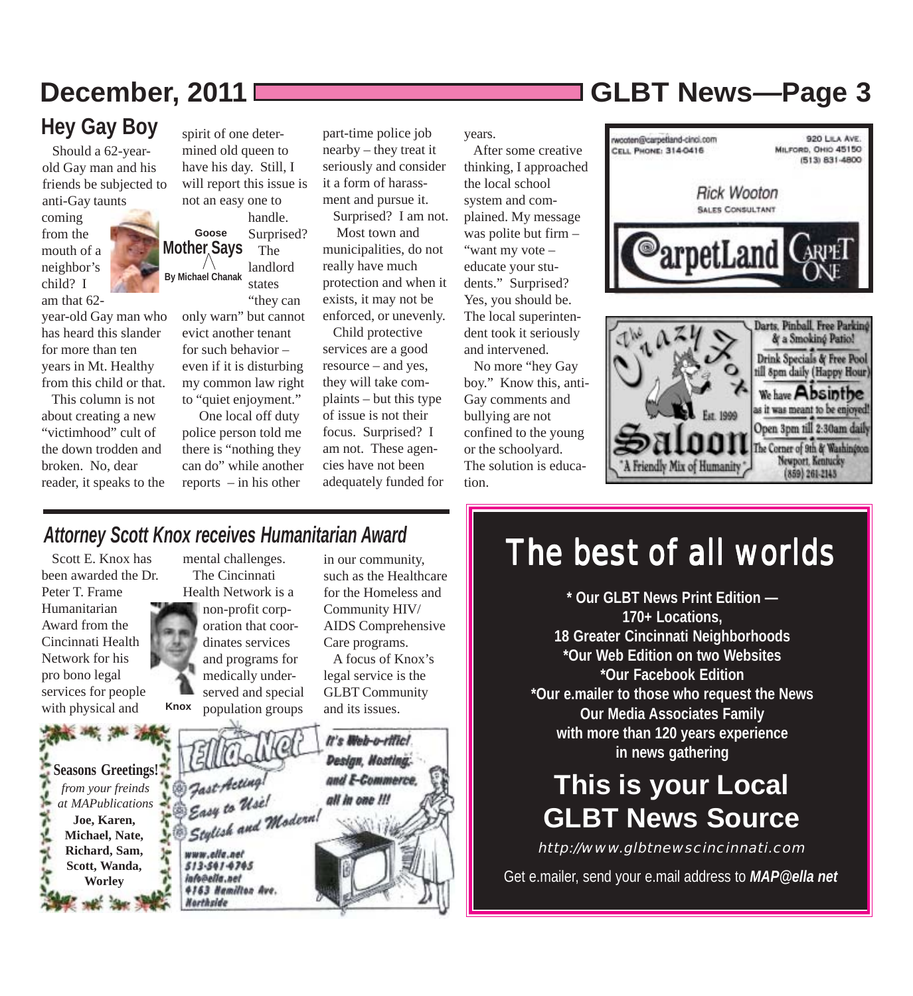# **Hey Gay Boy**

 Should a 62-yearold Gay man and his friends be subjected to anti-Gay taunts coming from the mouth of a neighbor's child? I am that 62-

year-old Gay man who has heard this slander for more than ten years in Mt. Healthy from this child or that.

 This column is not about creating a new "victimhood" cult of the down trodden and broken. No, dear reader, it speaks to the

**Mother Says By Michael Chanak Goose** spirit of one determined old queen to have his day. Still, I will report this issue is not an easy one to handle. Surprised? The landlord states

> "they can only warn" but cannot evict another tenant for such behavior – even if it is disturbing my common law right to "quiet enjoyment."

 One local off duty police person told me there is "nothing they can do" while another reports – in his other

part-time police job nearby – they treat it seriously and consider it a form of harassment and pursue it.

 Surprised? I am not. Most town and municipalities, do not really have much protection and when it exists, it may not be enforced, or unevenly.

 Child protective services are a good resource – and yes, they will take complaints – but this type of issue is not their focus. Surprised? I am not. These agencies have not been adequately funded for years.

 After some creative thinking, I approached the local school system and complained. My message was polite but firm – "want my vote – educate your students." Surprised? Yes, you should be. The local superintendent took it seriously and intervened.

 No more "hey Gay boy." Know this, anti-Gay comments and bullying are not confined to the young or the schoolyard. The solution is education.

# **December, 2011 GLBT News***—***Page 3**





### *Attorney Scott Knox receives Humanitarian Award*

 Scott E. Knox has been awarded the Dr. Peter T. Frame Humanitarian Award from the Cincinnati Health Network for his pro bono legal services for people with physical and

**Joe, Karen,**

**Worley**

mental challenges. The Cincinnati Health Network is a **Knox** non-profit corporation that coordinates services and programs for medically underserved and special population groups

in our community, such as the Healthcare for the Homeless and Community HIV/ AIDS Comprehensive Care programs.

 A focus of Knox's legal service is the GLBT Community and its issues.



# The best of all worlds

**\* Our GLBT News Print Edition — 170+ Locations, 18 Greater Cincinnati Neighborhoods \*Our Web Edition on two Websites \*Our Facebook Edition \*Our e.mailer to those who request the News Our Media Associates Family with more than 120 years experience in news gathering**

# **This is your Local GLBT News Source**

http://www.glbtnewscincinnati.com Get e.mailer, send your e.mail address to **MAP@ella net**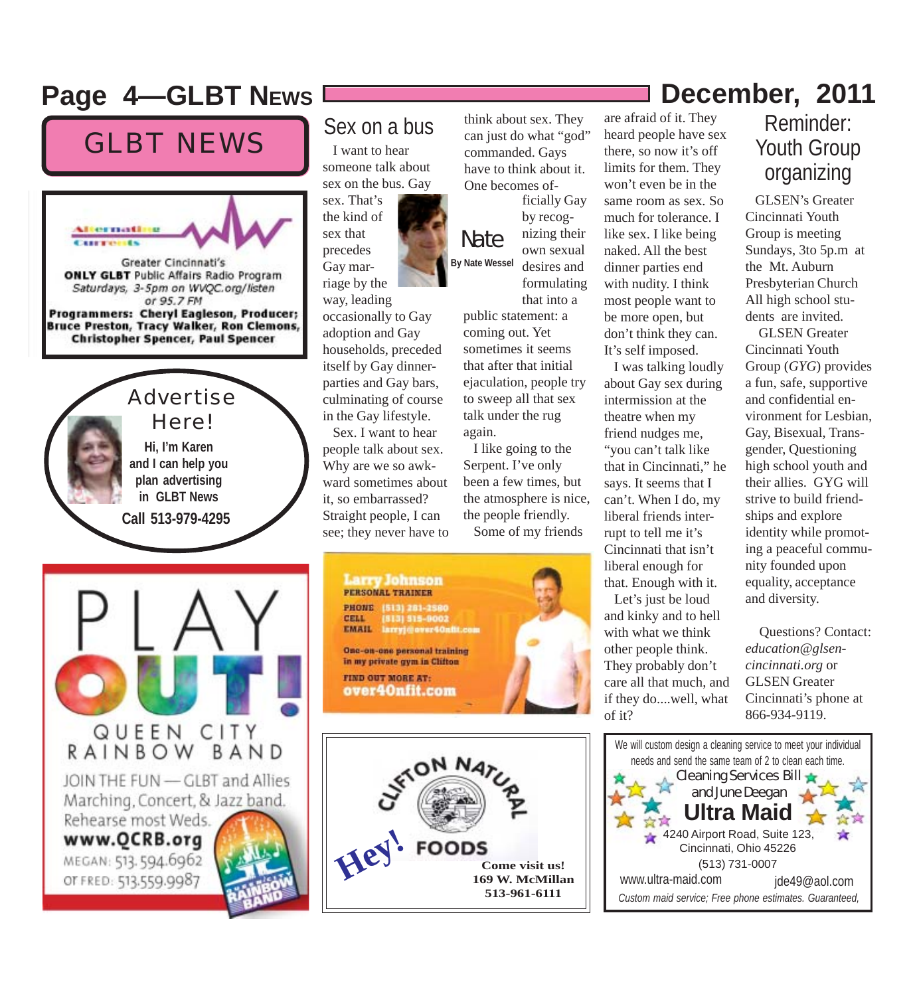## Page 4–GLBT NEws **December, 2011**

# GLBT NEWS



### Sex on a bus

 I want to hear someone talk about sex on the bus. Gay

sex. That's the kind of sex that precedes Gay marriage by the way, leading

occasionally to Gay adoption and Gay households, preceded itself by Gay dinnerparties and Gay bars, culminating of course in the Gay lifestyle.

 Sex. I want to hear people talk about sex. Why are we so awkward sometimes about it, so embarrassed? Straight people, I can see; they never have to

think about sex. They can just do what "god" commanded. Gays have to think about it. One becomes of-

Nate **By Nate Wessel** ficially Gay by recognizing their own sexual desires and formulating

that into a public statement: a coming out. Yet sometimes it seems that after that initial ejaculation, people try to sweep all that sex talk under the rug again.

 I like going to the Serpent. I've only been a few times, but the atmosphere is nice, the people friendly. Some of my friends

**Larry Johnson** PERSONAL TRAINER **PHONE** (513) 281-2580 [813] 915-0002<br>larryj@over40nfil.com CELL **EMAIL** One-on-one personal training in my private gym in Clifton **FIND OUT MORE AT:** 

over40nfit.com

**Hey! FOODS Come visit us! 169 W. McMillan 513-961-6111**

### are afraid of it. They heard people have sex there, so now it's off limits for them. They won't even be in the same room as sex. So much for tolerance. I like sex. I like being naked. All the best dinner parties end with nudity. I think most people want to be more open, but don't think they can. It's self imposed.

 I was talking loudly about Gay sex during intermission at the theatre when my friend nudges me, "you can't talk like that in Cincinnati," he says. It seems that I can't. When I do, my liberal friends interrupt to tell me it's Cincinnati that isn't liberal enough for that. Enough with it. Let's just be loud and kinky and to hell with what we think other people think. They probably don't care all that much, and if they do....well, what of it?

### Reminder: Youth Group organizing

 GLSEN's Greater Cincinnati Youth Group is meeting Sundays, 3to 5p.m at the Mt. Auburn Presbyterian Church All high school students are invited.

 GLSEN Greater Cincinnati Youth Group (*GYG*) provides a fun, safe, supportive and confidential environment for Lesbian, Gay, Bisexual, Transgender, Questioning high school youth and their allies. GYG will strive to build friendships and explore identity while promoting a peaceful community founded upon equality, acceptance and diversity.

 Questions? Contact: *education@glsencincinnati.org* or GLSEN Greater Cincinnati's phone at 866-934-9119.

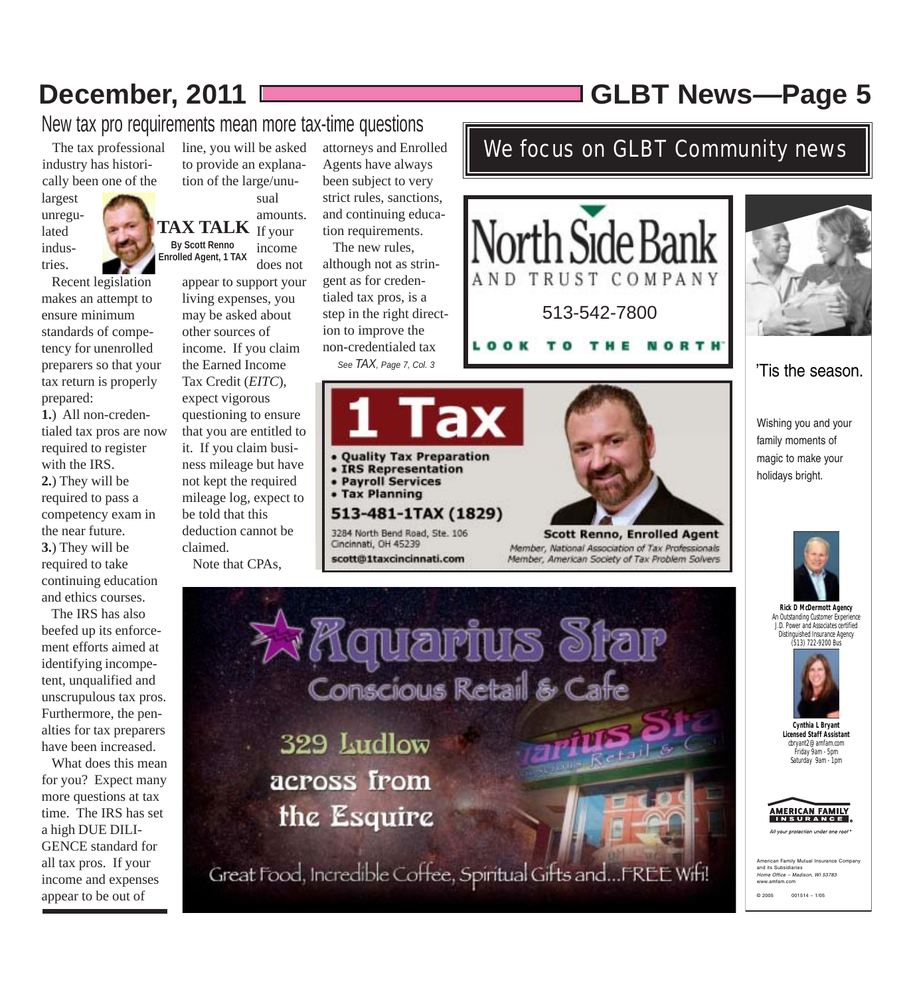# **December, 2011 GLBT News***—***Page 5**

We focus on GLBT Community news

New tax pro requirements mean more tax-time questions

 The tax professional industry has historically been one of the

largest unregulated industries.



 Recent legislation makes an attempt to ensure minimum standards of competency for unenrolled preparers so that your tax return is properly prepared:

**1.**) All non-credentialed tax pros are now required to register with the IRS. **2.**) They will be required to pass a competency exam in the near future. **3.**) They will be required to take continuing education and ethics courses.

 The IRS has also beefed up its enforcement efforts aimed at identifying incompetent, unqualified and unscrupulous tax pros. Furthermore, the penalties for tax preparers have been increased.

 What does this mean for you? Expect many more questions at tax time. The IRS has set a high DUE DILI-GENCE standard for all tax pros. If your income and expenses appear to be out of

line, you will be asked to provide an explanation of the large/unusual

**TAX TALK** If your **By Scott Renno Enrolled Agent, 1 TAX** amounts. income does not

> appear to support your living expenses, you may be asked about other sources of income. If you claim the Earned Income Tax Credit (*EITC*), expect vigorous questioning to ensure that you are entitled to it. If you claim business mileage but have not kept the required mileage log, expect to be told that this deduction cannot be claimed.

Note that CPAs,

attorneys and Enrolled Agents have always been subject to very strict rules, sanctions, and continuing education requirements.

 The new rules, although not as stringent as for credentialed tax pros, is a step in the right direction to improve the non-credentialed tax *See TAX, Page 7, Col. 3*

scott@1taxcincinnati.com



AND

Member, National Association of Tax Professionals Member, American Society of Tax Problem Solvers

513-542-7800

TRUST COMPANY

**North Side Bai** 

LY HONDRINS Star 329 Ludlow across from the Esquire

Great Food, Incredible Coffee, Spiritual Gifts and...FREE Wifi!



'Tis the season.

Wishing you and your family moments of magic to make your holidays bright.



**Rick D McDermott Agency** An Outstanding Customer Experience J.D. Power and Associates certified Distinguished Insurance Agency (513) 722-9200 Bus



**Cynthia L Bryant Licensed Staff Assistant** cbryant2@amfam.com Friday 9am - 5pm Saturday 9am - 1pm

| <b>AMERICAN FAMILY</b> |  |
|------------------------|--|
|                        |  |
| <b>INSURANCE</b>       |  |
|                        |  |

All your protection under one roof

```
rican Family Mutual Insurance Com
and its Sub
Home Office – Madison, WI 53783
www.amfam.com
© 2005 001514 – 1/05
```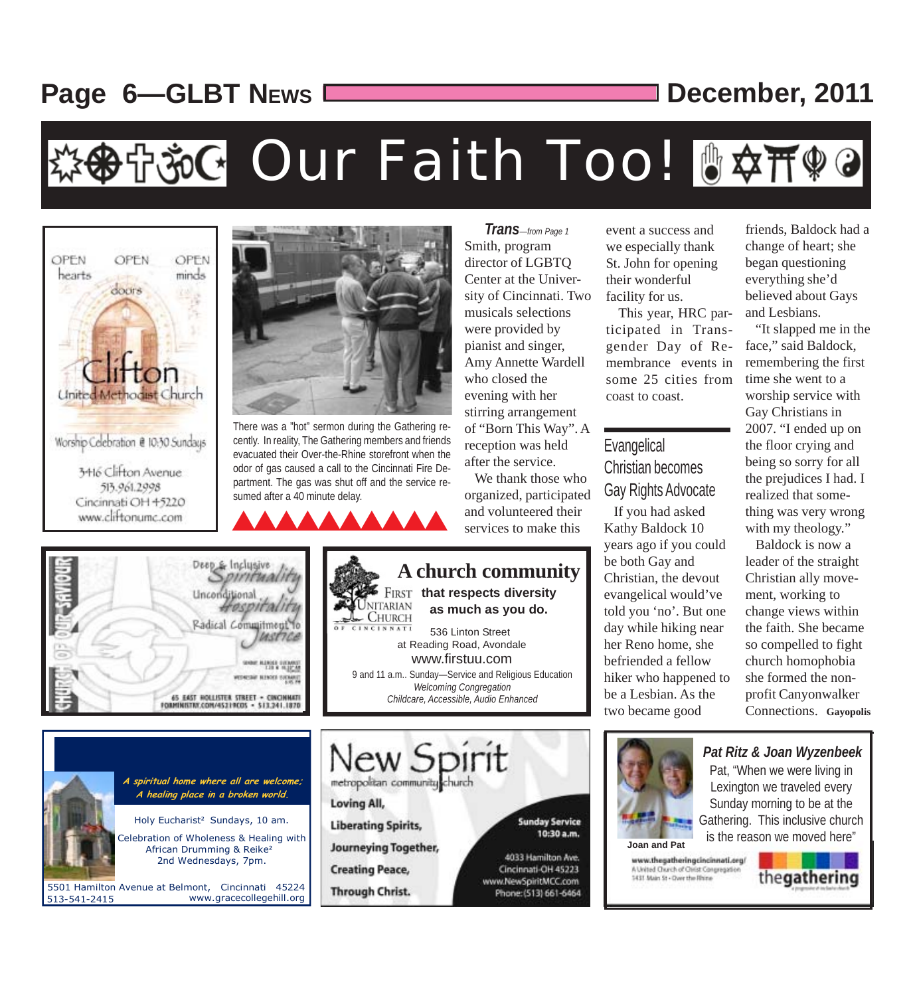# **Page 6––GLBT NEWS** LETTER December, 2011

# 多守ŠG Our Faith Too! 『☆开??



There was a "hot" sermon during the Gathering recently. In reality, The Gathering members and friends evacuated their Over-the-Rhine storefront when the odor of gas caused a call to the Cincinnati Fire Department. The gas was shut off and the service resumed after a 40 minute delay.

and volunteered their If you had asked<br>
services to make this Kathy Baldock 10

Smith, program director of LGBTQ Center at the University of Cincinnati. Two musicals selections were provided by pianist and singer, Amy Annette Wardell who closed the evening with her stirring arrangement of "Born This Way". A reception was held after the service. *Trans—from Page 1*

 We thank those who organized, participated services to make this

**Sunday Service** 

4033 Hamilton Ave.

Cincinnati-OH 45223

Phone: (513) 661-6464

www.NewSpiritMCC.com

10:30 a.m.



event a success and we especially thank St. John for opening their wonderful facility for us.

 This year, HRC participated in Transgender Day of Remembrance events in some 25 cities from coast to coast.

### **Evangelical**

Christian becomes Gay Rights Advocate

Kathy Baldock 10 years ago if you could be both Gay and Christian, the devout evangelical would've told you 'no'. But one day while hiking near her Reno home, she befriended a fellow hiker who happened to be a Lesbian. As the two became good

friends, Baldock had a change of heart; she began questioning everything she'd believed about Gays and Lesbians.

 "It slapped me in the face," said Baldock, remembering the first time she went to a worship service with Gay Christians in 2007. "I ended up on the floor crying and being so sorry for all the prejudices I had. I realized that something was very wrong with my theology."

 Baldock is now a leader of the straight Christian ally movement, working to change views within the faith. She became so compelled to fight church homophobia she formed the nonprofit Canyonwalker Connections. **Gayopolis**



www.thegatheringcincinnati.org/ A United Church of Christ Congregation 1431 Main St - Over the Rhine



*Pat Ritz & Joan Wyzenbeek* Pat, "When we were living in Lexington we traveled every Sunday morning to be at the

**A spiritual home where all are welcome;**  metropolitan community church **A healing place in a broken world.** Loving All, Holy Eucharistl Sundays, 10 am. **Liberating Spirits,** Celebration of Wholeness & Healing with **Journeying Together,** African Drumming & Reikel 2nd Wednesdays, 7pm. **Creating Peace,** 5501 Hamilton Avenue at Belmont, Cincinnati 45224 **Through Christ.** 513-541-2415 www.gracecollegehill.org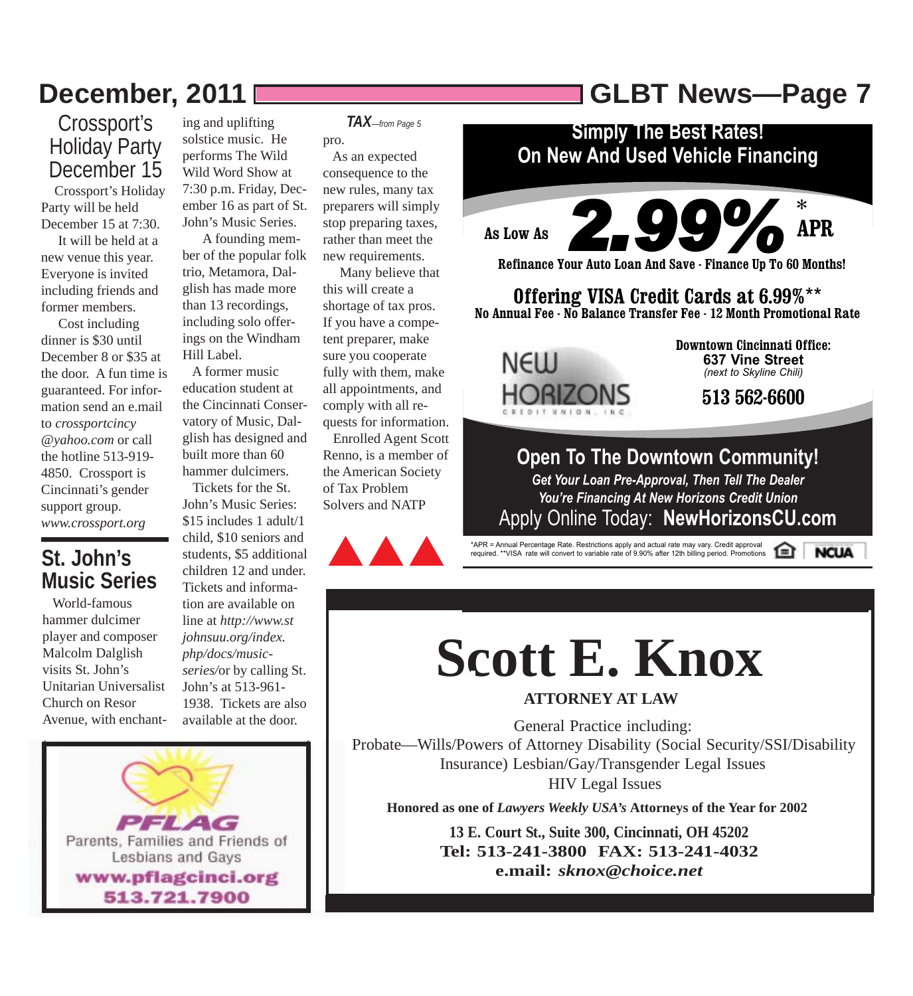# **December, 2011 GLBT News***—***Page 7**

### Crossport's Holiday Party December 15

 Crossport's Holiday Party will be held December 15 at 7:30. It will be held at a new venue this year. Everyone is invited including friends and former members.

 Cost including dinner is \$30 until December 8 or \$35 at the door. A fun time is guaranteed. For information send an e.mail to *crossportcincy- @yahoo.com* or call the hotline 513-919- 4850. Crossport is Cincinnati's gender support group. *www.crossport.org*

### **St. John's Music Series**

 World-famous hammer dulcimer player and composer Malcolm Dalglish visits St. John's Unitarian Universalist Church on Resor Avenue, with enchant-

ing and uplifting solstice music. He performs The Wild Wild Word Show at 7:30 p.m. Friday, December 16 as part of St. John's Music Series.

 A founding member of the popular folk trio, Metamora, Dalglish has made more than 13 recordings, including solo offerings on the Windham Hill Label.

 A former music education student at the Cincinnati Conservatory of Music, Dalglish has designed and built more than 60 hammer dulcimers.

 Tickets for the St. John's Music Series: \$15 includes 1 adult/1 child, \$10 seniors and students, \$5 additional children 12 and under. Tickets and information are available on line at *http://www.stjohnsuu.org/index. php/docs/musicseries/*or by calling St. John's at 513-961- 1938. Tickets are also available at the door.

*TAX—from Page 5*

pro.

 As an expected consequence to the new rules, many tax preparers will simply stop preparing taxes, rather than meet the new requirements.

 Many believe that this will create a shortage of tax pros. If you have a competent preparer, make sure you cooperate fully with them, make all appointments, and comply with all requests for information.

 Enrolled Agent Scott Renno, is a member of the American Society of Tax Problem Solvers and NATP



# **Simply The Best Rates!**

**On New And Used Vehicle Financing**



**NCUA** 

\*APR = Annual Percentage Rate. Restrictions apply and actual rate may vary. Credit approval required. \*\*VISA rate will convert to variable rate of 9.90% after 12th billing period. Promotions

# **Scott E. Knox**

### **ATTORNEY AT LAW**

General Practice including: Probate—Wills/Powers of Attorney Disability (Social Security/SSI/Disability Insurance) Lesbian/Gay/Transgender Legal Issues HIV Legal Issues

**Honored as one of** *Lawyers Weekly USA's* **Attorneys of the Year for 2002**

**13 E. Court St., Suite 300, Cincinnati, OH 45202 Tel: 513-241-3800 FAX: 513-241-4032 e.mail:** *sknox@choice.net*

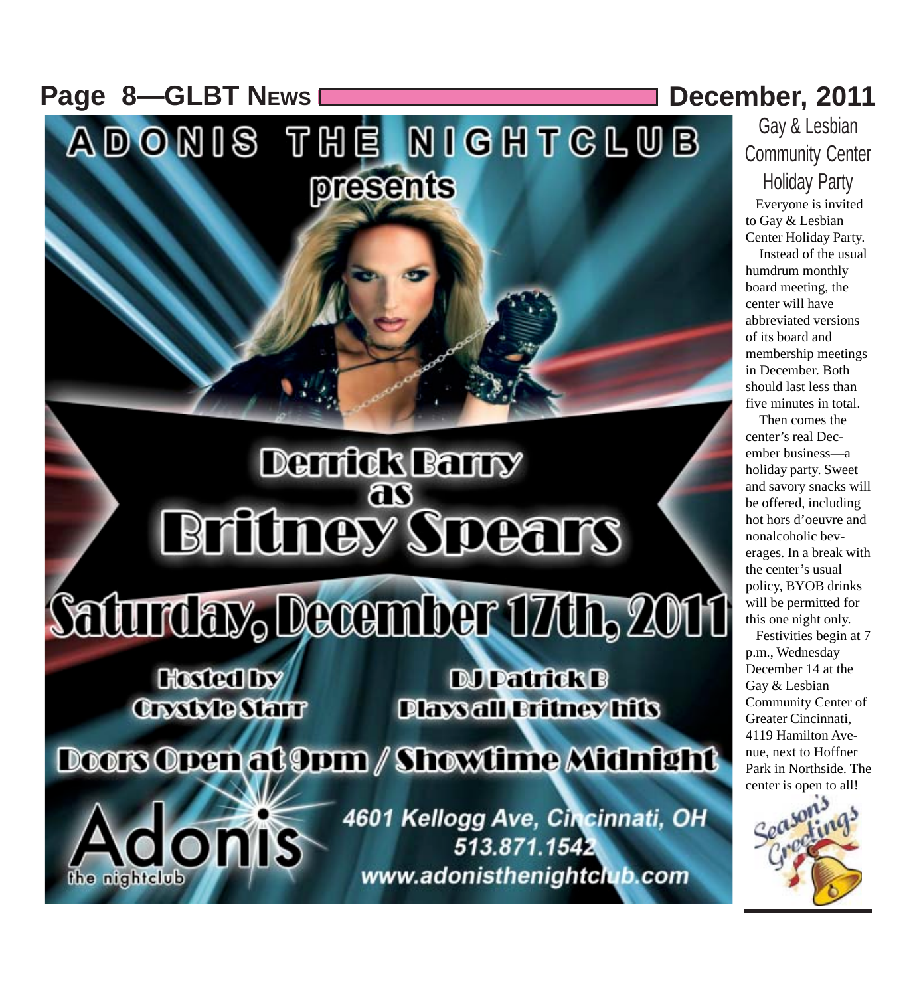**Page 8-GLBT NEWS December, 2011** 

Gay & Lesbian Community Center Holiday Party

 Everyone is invited to Gay & Lesbian Center Holiday Party.

 Instead of the usual humdrum monthly board meeting, the center will have abbreviated versions of its board and membership meetings in December. Both should last less than five minutes in total.

 Then comes the center's real December business—a holiday party. Sweet and savory snacks will be offered, including hot hors d'oeuvre and nonalcoholic beverages. In a break with the center's usual policy, BYOB drinks will be permitted for this one night only.

 Festivities begin at 7 p.m., Wednesday December 14 at the Gay & Lesbian Community Center of Greater Cincinnati, 4119 Hamilton Avenue, next to Hoffner Park in Northside. The center is open to all!



**Closted by Crystyle Starr** 

**ONIS** 

the nightclub

**DJ Patrick B Dlaxs all Britney hits** 

Doors Open at 9pm / Showtime Midnight

ADONIS THE NIGHTCLUB

presents

**Derrick Barry** 

ങ

**Britiney Spears** 

Saturday, December 17dh, 2011

4601 Kellogg Ave, Cincinnati, OH 513.871.1542 www.adonisthenightclub.com